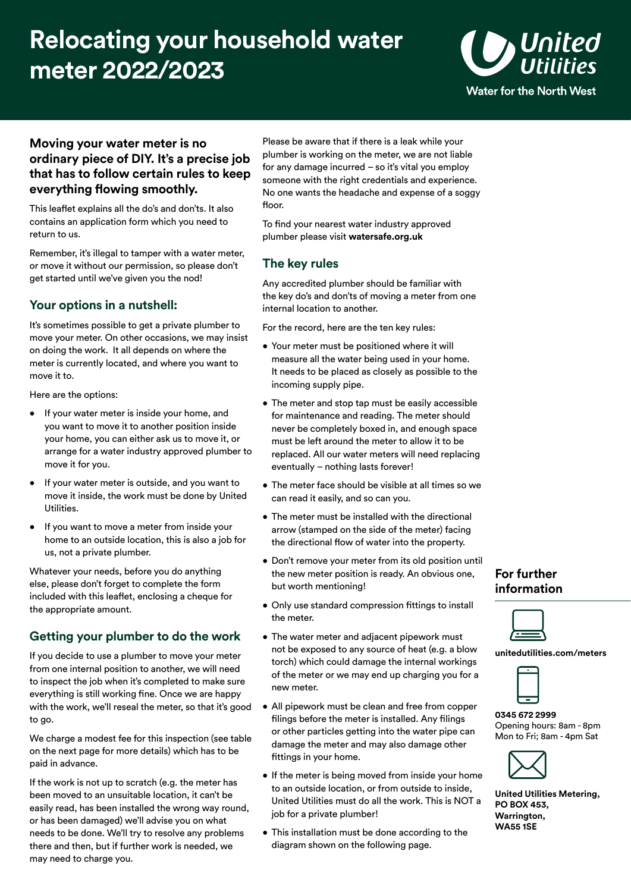# **Relocating your household water meter 2022/2023**



#### **Moving your water meter is no ordinary piece of DIY. It's a precise job that has to follow certain rules to keep everything flowing smoothly.**

This leaflet explains all the do's and don'ts. It also contains an application form which you need to return to us.

Remember, it's illegal to tamper with a water meter, or move it without our permission, so please don't get started until we've given you the nod!

### **Your options in a nutshell:**

It's sometimes possible to get a private plumber to move your meter. On other occasions, we may insist on doing the work. It all depends on where the meter is currently located, and where you want to move it to.

Here are the options:

- If your water meter is inside your home, and you want to move it to another position inside your home, you can either ask us to move it, or arrange for a water industry approved plumber to move it for you.
- If your water meter is outside, and you want to move it inside, the work must be done by United Utilities.
- If you want to move a meter from inside your home to an outside location, this is also a job for us, not a private plumber.

Whatever your needs, before you do anything else, please don't forget to complete the form included with this leaflet, enclosing a cheque for the appropriate amount.

#### **Getting your plumber to do the work**

If you decide to use a plumber to move your meter from one internal position to another, we will need to inspect the job when it's completed to make sure everything is still working fine. Once we are happy with the work, we'll reseal the meter, so that it's good to go.

We charge a modest fee for this inspection (see table on the next page for more details) which has to be paid in advance.

If the work is not up to scratch (e.g. the meter has been moved to an unsuitable location, it can't be easily read, has been installed the wrong way round, or has been damaged) we'll advise you on what needs to be done. We'll try to resolve any problems there and then, but if further work is needed, we may need to charge you.

Please be aware that if there is a leak while your plumber is working on the meter, we are not liable for any damage incurred – so it's vital you employ someone with the right credentials and experience. No one wants the headache and expense of a soggy floor.

To find your nearest water industry approved plumber please visit **watersafe.org.uk** 

### **The key rules**

Any accredited plumber should be familiar with the key do's and don'ts of moving a meter from one internal location to another.

For the record, here are the ten key rules:

- Your meter must be positioned where it will measure all the water being used in your home. It needs to be placed as closely as possible to the incoming supply pipe.
- The meter and stop tap must be easily accessible for maintenance and reading. The meter should never be completely boxed in, and enough space must be left around the meter to allow it to be replaced. All our water meters will need replacing eventually – nothing lasts forever!
- The meter face should be visible at all times so we can read it easily, and so can you.
- The meter must be installed with the directional arrow (stamped on the side of the meter) facing the directional flow of water into the property.
- Don't remove your meter from its old position until the new meter position is ready. An obvious one, but worth mentioning!
- Only use standard compression fittings to install the meter.
- The water meter and adjacent pipework must not be exposed to any source of heat (e.g. a blow torch) which could damage the internal workings of the meter or we may end up charging you for a new meter.
- All pipework must be clean and free from copper filings before the meter is installed. Any filings or other particles getting into the water pipe can damage the meter and may also damage other fittings in your home.
- If the meter is being moved from inside your home to an outside location, or from outside to inside, United Utilities must do all the work. This is NOT a job for a private plumber!
- This installation must be done according to the diagram shown on the following page.

#### **For further information**



**[unitedutilities.com/meters](https://unitedutilities.com/meters)** 

**0345 672 2999**  Opening hours: 8am - 8pm Mon to Fri; 8am - 4pm Sat



**United Utilities Metering, PO BOX 453, Warrington, WA55 1SE**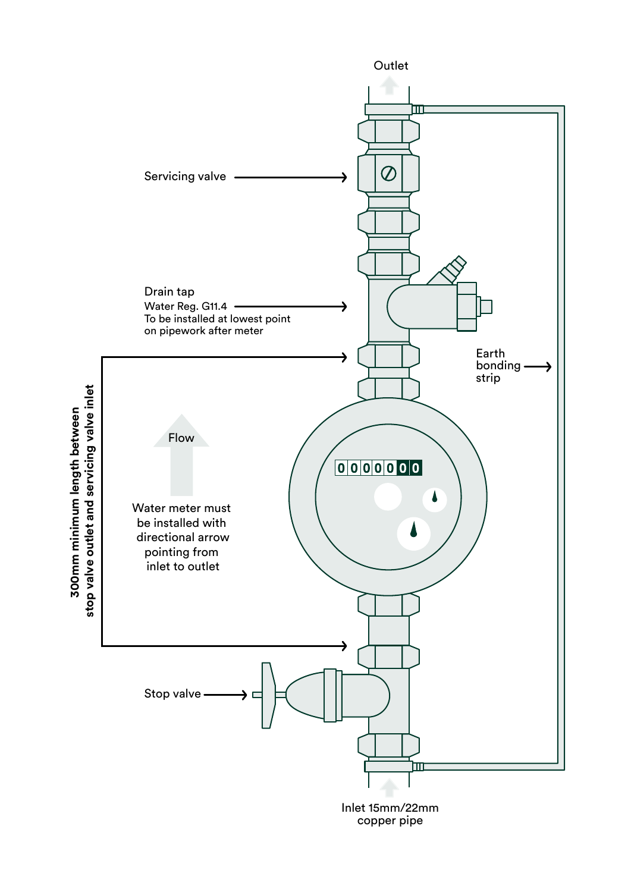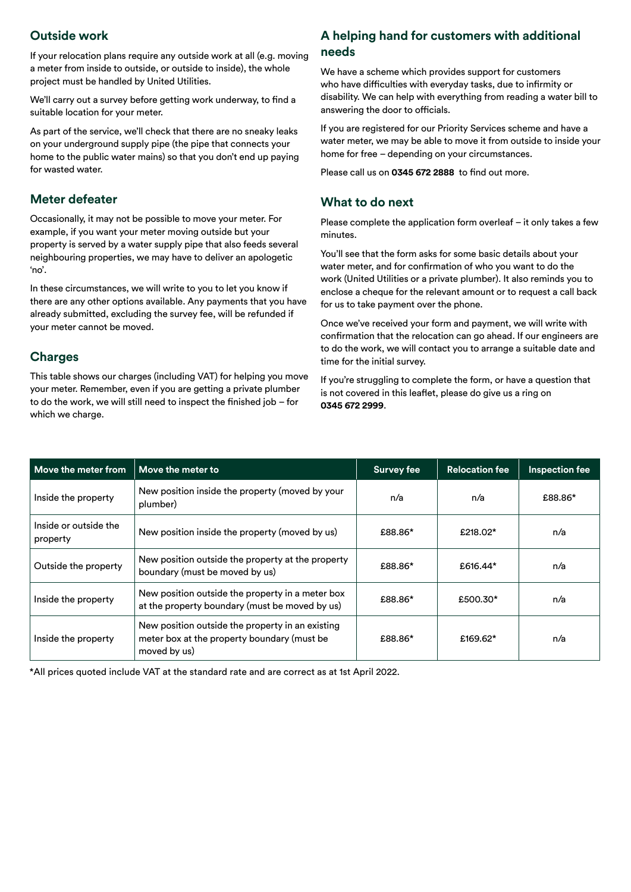If your relocation plans require any outside work at all (e.g. moving **needs** a meter from inside to outside, or outside to inside), the whole project must be handled by United Utilities.

We'll carry out a survey before getting work underway, to find a suitable location for your meter.

As part of the service, we'll check that there are no sneaky leaks on your underground supply pipe (the pipe that connects your home to the public water mains) so that you don't end up paying for wasted water.

#### **Meter defeater**

Occasionally, it may not be possible to move your meter. For example, if you want your meter moving outside but your property is served by a water supply pipe that also feeds several neighbouring properties, we may have to deliver an apologetic 'no'.

In these circumstances, we will write to you to let you know if there are any other options available. Any payments that you have already submitted, excluding the survey fee, will be refunded if your meter cannot be moved.

#### **Charges**

This table shows our charges (including VAT) for helping you move your meter. Remember, even if you are getting a private plumber to do the work, we will still need to inspect the finished job – for which we charge.

# $\alpha$  **Dutside work Customers with additional A helping hand for customers with additional**

We have a scheme which provides support for customers who have difficulties with everyday tasks, due to infirmity or disability. We can help with everything from reading a water bill to answering the door to officials.

If you are registered for our Priority Services scheme and have a water meter, we may be able to move it from outside to inside your home for free – depending on your circumstances.

Please call us on **0345 672 2888** to find out more.

#### **What to do next**

Please complete the application form overleaf – it only takes a few minutes.

You'll see that the form asks for some basic details about your water meter, and for confirmation of who you want to do the work (United Utilities or a private plumber). It also reminds you to enclose a cheque for the relevant amount or to request a call back for us to take payment over the phone.

Once we've received your form and payment, we will write with confirmation that the relocation can go ahead. If our engineers are to do the work, we will contact you to arrange a suitable date and time for the initial survey.

If you're struggling to complete the form, or have a question that is not covered in this leaflet, please do give us a ring on **0345 672 2999**.

| Move the meter from               | Move the meter to                                                                                               | <b>Survey fee</b> | <b>Relocation fee</b> | <b>Inspection fee</b> |
|-----------------------------------|-----------------------------------------------------------------------------------------------------------------|-------------------|-----------------------|-----------------------|
| Inside the property               | New position inside the property (moved by your<br>plumber)                                                     | n/a               | n/a                   | £88.86*               |
| Inside or outside the<br>property | New position inside the property (moved by us)                                                                  | £88.86*           | £218.02*              | n/a                   |
| Outside the property              | New position outside the property at the property<br>boundary (must be moved by us)                             | £88.86*           | £616.44*              | n/a                   |
| Inside the property               | New position outside the property in a meter box<br>at the property boundary (must be moved by us)              | £88.86*           | £500.30*              | n/a                   |
| Inside the property               | New position outside the property in an existing<br>meter box at the property boundary (must be<br>moved by us) | £88.86*           | £169.62*              | n/a                   |

\*All prices quoted include VAT at the standard rate and are correct as at 1st April 2022.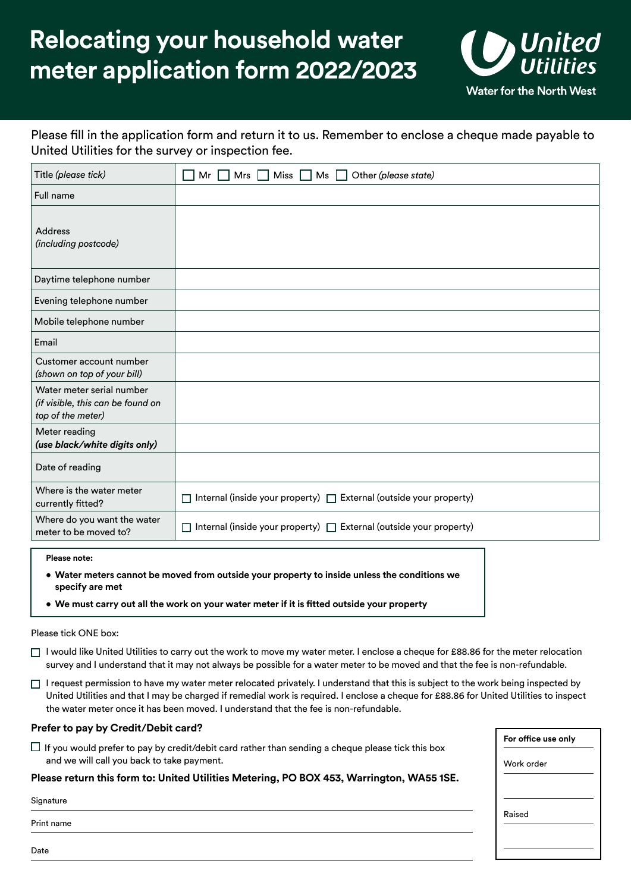## **Relocating your household water meter application form 2022/2023**



Please fill in the application form and return it to us. Remember to enclose a cheque made payable to United Utilities for the survey or inspection fee.

| Title (please tick)                                                                 | Miss $\Box$<br>Other (please state)<br>Mrs<br>Ms<br>Mr                  |  |  |
|-------------------------------------------------------------------------------------|-------------------------------------------------------------------------|--|--|
| Full name                                                                           |                                                                         |  |  |
| <b>Address</b><br>(including postcode)                                              |                                                                         |  |  |
| Daytime telephone number                                                            |                                                                         |  |  |
| Evening telephone number                                                            |                                                                         |  |  |
| Mobile telephone number                                                             |                                                                         |  |  |
| Email                                                                               |                                                                         |  |  |
| Customer account number<br>(shown on top of your bill)                              |                                                                         |  |  |
| Water meter serial number<br>(if visible, this can be found on<br>top of the meter) |                                                                         |  |  |
| Meter reading<br>(use black/white digits only)                                      |                                                                         |  |  |
| Date of reading                                                                     |                                                                         |  |  |
| Where is the water meter<br>currently fitted?                                       | Internal (inside your property) □ External (outside your property)<br>П |  |  |
| Where do you want the water<br>meter to be moved to?                                | Internal (inside your property) □ External (outside your property)<br>П |  |  |
| Please note:                                                                        |                                                                         |  |  |

- **Water meters cannot be moved from outside your property to inside unless the conditions we specify are met**
- **We must carry out all the work on your water meter if it is fitted outside your property**

Please tick ONE box:

- $\Box$  I would like United Utilities to carry out the work to move my water meter. I enclose a cheque for £88.86 for the meter relocation survey and I understand that it may not always be possible for a water meter to be moved and that the fee is non-refundable.
- $\Box$  I request permission to have my water meter relocated privately. I understand that this is subject to the work being inspected by United Utilities and that I may be charged if remedial work is required. I enclose a cheque for £88.86 for United Utilities to inspect the water meter once it has been moved. I understand that the fee is non-refundable.

#### **Prefer to pay by Credit/Debit card?**

 $\sqcup$  If you would prefer to pay by credit/debit card rather than sending a cheque please tick this box and we will call you back to take payment.

#### **Please return this form to: United Utilities Metering, PO BOX 453, Warrington, WA55 1SE.**

Signature

Print name

**For office use only** Work order Raised

Date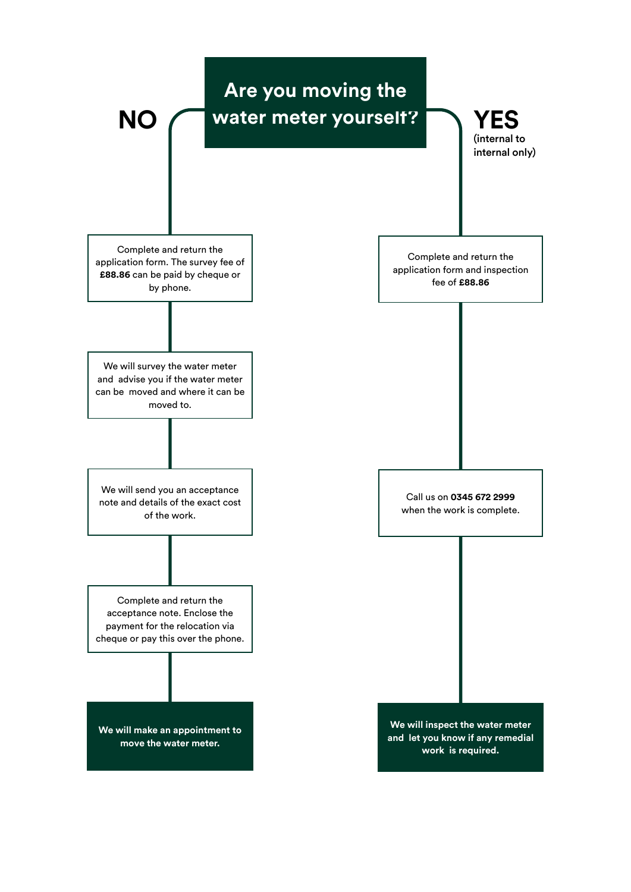